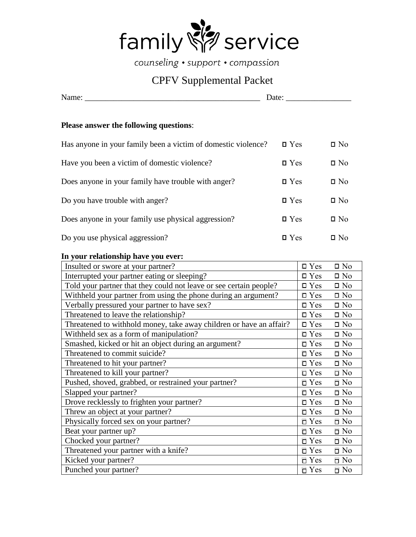| $\Box$                                                                                                                                                                                          |
|-------------------------------------------------------------------------------------------------------------------------------------------------------------------------------------------------|
| $\Box$                                                                                                                                                                                          |
| $\Box$                                                                                                                                                                                          |
| 0                                                                                                                                                                                               |
| $\Box$<br>$\Box$<br>$\Box$<br>$\Box$<br>$\Box$<br>$\Box$<br>$\Box$<br>$\Box$<br>$\Box$<br>$\Box$<br>$\Box$<br>$\Box$<br>$\Box$<br>$\Box$<br>$\Box$<br>О<br>$\Box$<br>$\Box$<br>О<br>$\Box$<br>Ω |
| Δ                                                                                                                                                                                               |

 $\Box$ 

 $\blacksquare$ 

 $\blacksquare$ 

 $\Box$ 

 $\Box$ 

 $\Box$ 

 $\Box$ 

 $\Box$ 

 $\Box$ 

 $\blacksquare$ 

 $\Box$ 

0<br>0<br>0

 $\Box$ 

 $\Box$ 

 $\begin{array}{c} \square \\ \square \end{array}$ 

 $\Box$ 

 $\Box$ 

 $\begin{array}{c} \square \\ \square \end{array}$ 

 $\Box$ 

 $\begin{array}{c} \square \\ \square \end{array}$ 

 $\Box$ 

 $\Box$ 

 $\blacksquare$ 

 $\blacksquare$ 

 $\Box$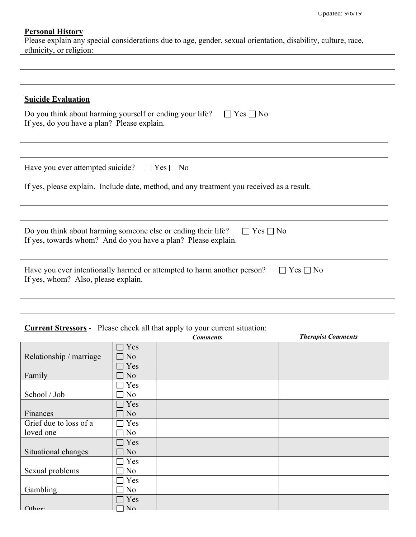$\Box$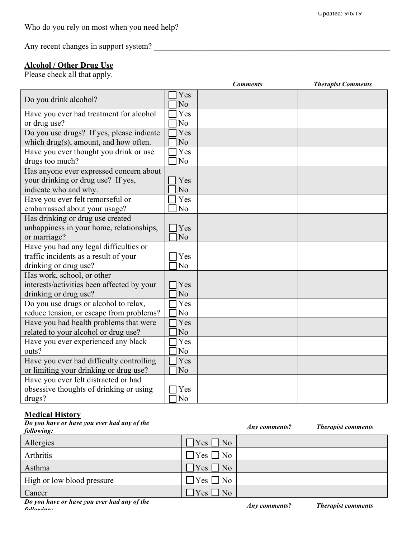**DODD** DODDDDD OD OOOOOOOOO OO OO

00000

00000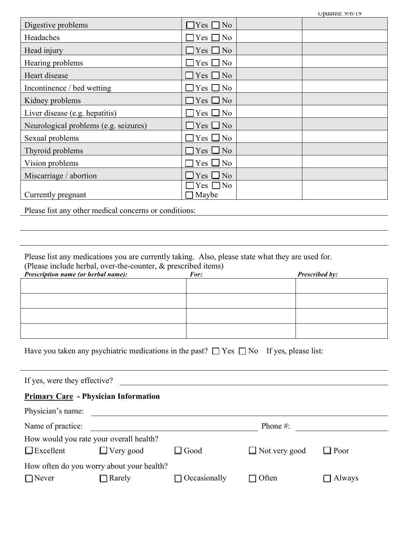## $\Box$  $\hfill \square$ 0000000000000  $\Box$  $\Box$  $\Box$  $\Box$  $\Box$  $\Box$  $\Box$  $\Box$  $\Box$  $\Box$  $\Box$ 000

 $\Box$ 

 $\Box$ 

 $\Box$ 

 $\Box$ 

 $\Box$ 

 $\Box$ 

 $\Box$ 

 $\Box$ 

 $\Box$ 

 $\Box$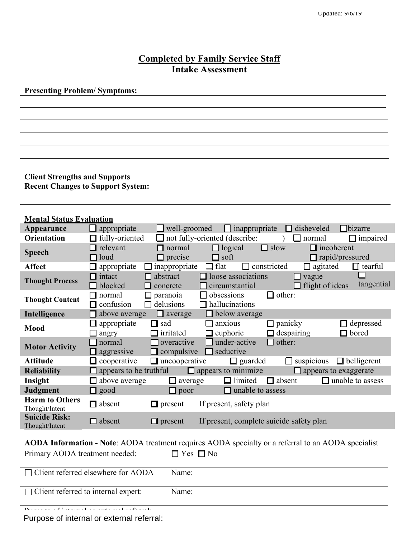

Purpose of internal or external referral: